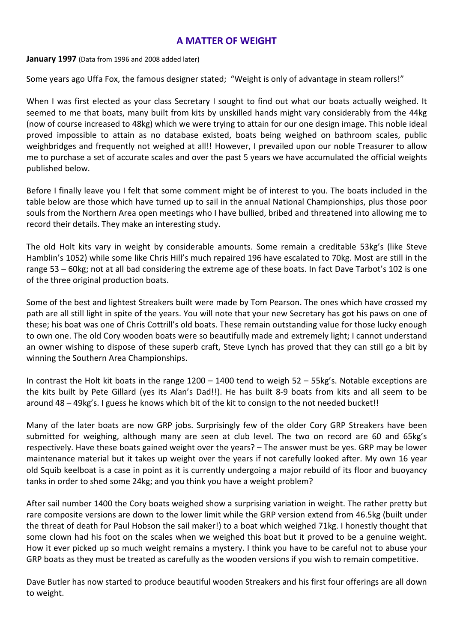## **A MATTER OF WEIGHT**

**January 1997** (Data from 1996 and 2008 added later)

Some years ago Uffa Fox, the famous designer stated; "Weight is only of advantage in steam rollers!"

When I was first elected as your class Secretary I sought to find out what our boats actually weighed. It seemed to me that boats, many built from kits by unskilled hands might vary considerably from the 44kg (now of course increased to 48kg) which we were trying to attain for our one design image. This noble ideal proved impossible to attain as no database existed, boats being weighed on bathroom scales, public weighbridges and frequently not weighed at all!! However, I prevailed upon our noble Treasurer to allow me to purchase a set of accurate scales and over the past 5 years we have accumulated the official weights published below.

Before I finally leave you I felt that some comment might be of interest to you. The boats included in the table below are those which have turned up to sail in the annual National Championships, plus those poor souls from the Northern Area open meetings who I have bullied, bribed and threatened into allowing me to record their details. They make an interesting study.

The old Holt kits vary in weight by considerable amounts. Some remain a creditable 53kg's (like Steve Hamblin's 1052) while some like Chris Hill's much repaired 196 have escalated to 70kg. Most are still in the range 53 – 60kg; not at all bad considering the extreme age of these boats. In fact Dave Tarbot's 102 is one of the three original production boats.

Some of the best and lightest Streakers built were made by Tom Pearson. The ones which have crossed my path are all still light in spite of the years. You will note that your new Secretary has got his paws on one of these; his boat was one of Chris Cottrill's old boats. These remain outstanding value for those lucky enough to own one. The old Cory wooden boats were so beautifully made and extremely light; I cannot understand an owner wishing to dispose of these superb craft, Steve Lynch has proved that they can still go a bit by winning the Southern Area Championships.

In contrast the Holt kit boats in the range  $1200 - 1400$  tend to weigh  $52 - 55$ kg's. Notable exceptions are the kits built by Pete Gillard (yes its Alan's Dad!!). He has built 8-9 boats from kits and all seem to be around 48 – 49kg's. I guess he knows which bit of the kit to consign to the not needed bucket!!

Many of the later boats are now GRP jobs. Surprisingly few of the older Cory GRP Streakers have been submitted for weighing, although many are seen at club level. The two on record are 60 and 65kg's respectively. Have these boats gained weight over the years? – The answer must be yes. GRP may be lower maintenance material but it takes up weight over the years if not carefully looked after. My own 16 year old Squib keelboat is a case in point as it is currently undergoing a major rebuild of its floor and buoyancy tanks in order to shed some 24kg; and you think you have a weight problem?

After sail number 1400 the Cory boats weighed show a surprising variation in weight. The rather pretty but rare composite versions are down to the lower limit while the GRP version extend from 46.5kg (built under the threat of death for Paul Hobson the sail maker!) to a boat which weighed 71kg. I honestly thought that some clown had his foot on the scales when we weighed this boat but it proved to be a genuine weight. How it ever picked up so much weight remains a mystery. I think you have to be careful not to abuse your GRP boats as they must be treated as carefully as the wooden versions if you wish to remain competitive.

Dave Butler has now started to produce beautiful wooden Streakers and his first four offerings are all down to weight.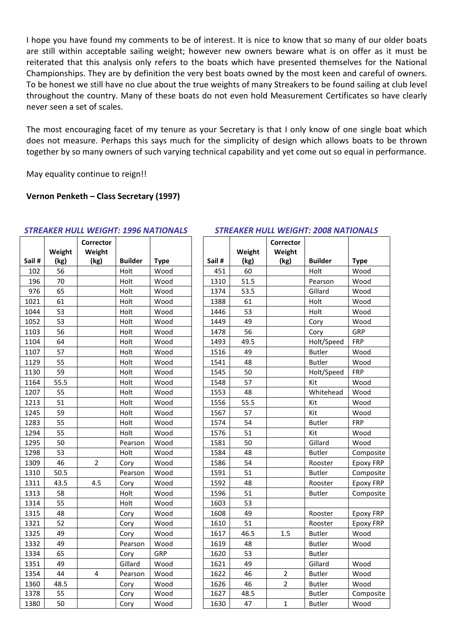I hope you have found my comments to be of interest. It is nice to know that so many of our older boats are still within acceptable sailing weight; however new owners beware what is on offer as it must be reiterated that this analysis only refers to the boats which have presented themselves for the National Championships. They are by definition the very best boats owned by the most keen and careful of owners. To be honest we still have no clue about the true weights of many Streakers to be found sailing at club level throughout the country. Many of these boats do not even hold Measurement Certificates so have clearly never seen a set of scales.

The most encouraging facet of my tenure as your Secretary is that I only know of one single boat which does not measure. Perhaps this says much for the simplicity of design which allows boats to be thrown together by so many owners of such varying technical capability and yet come out so equal in performance.

May equality continue to reign!!

## **Vernon Penketh – Class Secretary (1997)**

|        |        | Corrector               |                |             |       |        | Corrector      |                |             |
|--------|--------|-------------------------|----------------|-------------|-------|--------|----------------|----------------|-------------|
|        | Weight | Weight                  |                |             |       | Weight | Weight         |                |             |
| Sail # | (kg)   | (kg)                    | <b>Builder</b> | <b>Type</b> | Sail# | (kg)   | (kg)           | <b>Builder</b> | <b>Type</b> |
| 102    | 56     |                         | Holt           | Wood        | 451   | 60     |                | Holt           | Wood        |
| 196    | 70     |                         | Holt           | Wood        | 1310  | 51.5   |                | Pearson        | Wood        |
| 976    | 65     |                         | Holt           | Wood        | 1374  | 53.5   |                | Gillard        | Wood        |
| 1021   | 61     |                         | Holt           | Wood        | 1388  | 61     |                | Holt           | Wood        |
| 1044   | 53     |                         | Holt           | Wood        | 1446  | 53     |                | Holt           | Wood        |
| 1052   | 53     |                         | Holt           | Wood        | 1449  | 49     |                | Cory           | Wood        |
| 1103   | 56     |                         | Holt           | Wood        | 1478  | 56     |                | Cory           | GRP         |
| 1104   | 64     |                         | Holt           | Wood        | 1493  | 49.5   |                | Holt/Speed     | <b>FRP</b>  |
| 1107   | 57     |                         | Holt           | Wood        | 1516  | 49     |                | <b>Butler</b>  | Wood        |
| 1129   | 55     |                         | Holt           | Wood        | 1541  | 48     |                | <b>Butler</b>  | Wood        |
| 1130   | 59     |                         | Holt           | Wood        | 1545  | 50     |                | Holt/Speed     | <b>FRP</b>  |
| 1164   | 55.5   |                         | Holt           | Wood        | 1548  | 57     |                | Kit            | Wood        |
| 1207   | 55     |                         | Holt           | Wood        | 1553  | 48     |                | Whitehead      | Wood        |
| 1213   | 51     |                         | Holt           | Wood        | 1556  | 55.5   |                | Kit            | Wood        |
| 1245   | 59     |                         | Holt           | Wood        | 1567  | 57     |                | Kit            | Wood        |
| 1283   | 55     |                         | Holt           | Wood        | 1574  | 54     |                | <b>Butler</b>  | <b>FRP</b>  |
| 1294   | 55     |                         | Holt           | Wood        | 1576  | 51     |                | Kit            | Wood        |
| 1295   | 50     |                         | Pearson        | Wood        | 1581  | 50     |                | Gillard        | Wood        |
| 1298   | 53     |                         | Holt           | Wood        | 1584  | 48     |                | <b>Butler</b>  | Compo       |
| 1309   | 46     | $\overline{2}$          | Cory           | Wood        | 1586  | 54     |                | Rooster        | Epoxy       |
| 1310   | 50.5   |                         | Pearson        | Wood        | 1591  | 51     |                | <b>Butler</b>  | Compo       |
| 1311   | 43.5   | 4.5                     | Cory           | Wood        | 1592  | 48     |                | Rooster        | Epoxy       |
| 1313   | 58     |                         | Holt           | Wood        | 1596  | 51     |                | <b>Butler</b>  | Compo       |
| 1314   | 55     |                         | Holt           | Wood        | 1603  | 53     |                |                |             |
| 1315   | 48     |                         | Cory           | Wood        | 1608  | 49     |                | Rooster        | Epoxy       |
| 1321   | 52     |                         | Cory           | Wood        | 1610  | 51     |                | Rooster        | Epoxy       |
| 1325   | 49     |                         | Cory           | Wood        | 1617  | 46.5   | 1.5            | <b>Butler</b>  | Wood        |
| 1332   | 49     |                         | Pearson        | Wood        | 1619  | 48     |                | <b>Butler</b>  | Wood        |
| 1334   | 65     |                         | Cory           | GRP         | 1620  | 53     |                | <b>Butler</b>  |             |
| 1351   | 49     |                         | Gillard        | Wood        | 1621  | 49     |                | Gillard        | Wood        |
| 1354   | 44     | $\overline{\mathbf{4}}$ | Pearson        | Wood        | 1622  | 46     | $\mathbf 2$    | <b>Butler</b>  | Wood        |
| 1360   | 48.5   |                         | Cory           | Wood        | 1626  | 46     | $\overline{2}$ | <b>Butler</b>  | Wood        |
| 1378   | 55     |                         | Cory           | Wood        | 1627  | 48.5   |                | <b>Butler</b>  | Compo       |
| 1380   | 50     |                         | Corv           | Wood        | 1630  | 47     | $\mathbf{1}$   | <b>Butler</b>  | <b>Wood</b> |

## *STREAKER HULL WEIGHT: 1996 NATIONALS STREAKER HULL WEIGHT: 2008 NATIONALS*

|        | Weight | Corrector<br>Weight |                |             |       | Weight | Corrector<br>Weight |                |                  |
|--------|--------|---------------------|----------------|-------------|-------|--------|---------------------|----------------|------------------|
| Sail # | (kg)   | (kg)                | <b>Builder</b> | <b>Type</b> | Sail# | (kg)   | (kg)                | <b>Builder</b> | <b>Type</b>      |
| 102    | 56     |                     | Holt           | Wood        | 451   | 60     |                     | Holt           | Wood             |
| 196    | 70     |                     | Holt           | Wood        | 1310  | 51.5   |                     | Pearson        | Wood             |
| 976    | 65     |                     | Holt           | Wood        | 1374  | 53.5   |                     | Gillard        | Wood             |
| 1021   | 61     |                     | Holt           | Wood        | 1388  | 61     |                     | Holt           | Wood             |
| 1044   | 53     |                     | Holt           | Wood        | 1446  | 53     |                     | Holt           | Wood             |
| 1052   | 53     |                     | Holt           | Wood        | 1449  | 49     |                     | Cory           | Wood             |
| 1103   | 56     |                     | Holt           | Wood        | 1478  | 56     |                     | Cory           | GRP              |
| 1104   | 64     |                     | Holt           | Wood        | 1493  | 49.5   |                     | Holt/Speed     | <b>FRP</b>       |
| 1107   | 57     |                     | Holt           | Wood        | 1516  | 49     |                     | <b>Butler</b>  | Wood             |
| 1129   | 55     |                     | Holt           | Wood        | 1541  | 48     |                     | <b>Butler</b>  | Wood             |
| 1130   | 59     |                     | Holt           | Wood        | 1545  | 50     |                     | Holt/Speed     | FRP              |
| 1164   | 55.5   |                     | Holt           | Wood        | 1548  | 57     |                     | Kit            | Wood             |
| 1207   | 55     |                     | Holt           | Wood        | 1553  | 48     |                     | Whitehead      | Wood             |
| 1213   | 51     |                     | Holt           | Wood        | 1556  | 55.5   |                     | Kit            | Wood             |
| 1245   | 59     |                     | Holt           | Wood        | 1567  | 57     |                     | Kit            | Wood             |
| 1283   | 55     |                     | Holt           | Wood        | 1574  | 54     |                     | <b>Butler</b>  | FRP              |
| 1294   | 55     |                     | Holt           | Wood        | 1576  | 51     |                     | Kit            | Wood             |
| 1295   | 50     |                     | Pearson        | Wood        | 1581  | 50     |                     | Gillard        | Wood             |
| 1298   | 53     |                     | Holt           | Wood        | 1584  | 48     |                     | <b>Butler</b>  | Composite        |
| 1309   | 46     | $\overline{2}$      | Cory           | Wood        | 1586  | 54     |                     | Rooster        | Epoxy FRP        |
| 1310   | 50.5   |                     | Pearson        | Wood        | 1591  | 51     |                     | <b>Butler</b>  | Composite        |
| 1311   | 43.5   | 4.5                 | Cory           | Wood        | 1592  | 48     |                     | Rooster        | <b>Epoxy FRP</b> |
| 1313   | 58     |                     | Holt           | Wood        | 1596  | 51     |                     | <b>Butler</b>  | Composite        |
| 1314   | 55     |                     | Holt           | Wood        | 1603  | 53     |                     |                |                  |
| 1315   | 48     |                     | Cory           | Wood        | 1608  | 49     |                     | Rooster        | <b>Epoxy FRP</b> |
| 1321   | 52     |                     | Cory           | Wood        | 1610  | 51     |                     | Rooster        | <b>Epoxy FRP</b> |
| 1325   | 49     |                     | Cory           | Wood        | 1617  | 46.5   | 1.5                 | <b>Butler</b>  | Wood             |
| 1332   | 49     |                     | Pearson        | Wood        | 1619  | 48     |                     | <b>Butler</b>  | Wood             |
| 1334   | 65     |                     | Cory           | GRP         | 1620  | 53     |                     | <b>Butler</b>  |                  |
| 1351   | 49     |                     | Gillard        | Wood        | 1621  | 49     |                     | Gillard        | Wood             |
| 1354   | 44     | 4                   | Pearson        | Wood        | 1622  | 46     | $\overline{2}$      | <b>Butler</b>  | Wood             |
| 1360   | 48.5   |                     | Cory           | Wood        | 1626  | 46     | $\overline{2}$      | <b>Butler</b>  | Wood             |
| 1378   | 55     |                     | Cory           | Wood        | 1627  | 48.5   |                     | <b>Butler</b>  | Composite        |
| 1380   | 50     |                     | Cory           | Wood        | 1630  | 47     | 1                   | <b>Butler</b>  | Wood             |